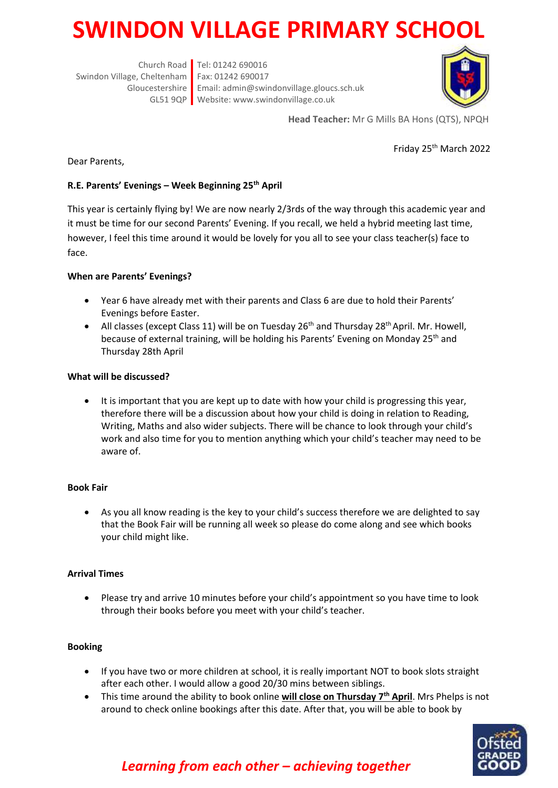# **SWINDON VILLAGE PRIMARY SCHOO**

Church Road Tel: 01242 690016 Swindon Village, Cheltenham Fax: 01242 690017 Gloucestershire Email: admin@swindonvillage.gloucs.sch.uk GL51 9QP Website: www.swindonvillage.co.uk



**Head Teacher:** Mr G Mills BA Hons (QTS), NPQH

Friday 25th March 2022

Dear Parents,

### **R.E. Parents' Evenings – Week Beginning 25th April**

This year is certainly flying by! We are now nearly 2/3rds of the way through this academic year and it must be time for our second Parents' Evening. If you recall, we held a hybrid meeting last time, however, I feel this time around it would be lovely for you all to see your class teacher(s) face to face.

#### **When are Parents' Evenings?**

- Year 6 have already met with their parents and Class 6 are due to hold their Parents' Evenings before Easter.
- All classes (except Class 11) will be on Tuesday  $26<sup>th</sup>$  and Thursday  $28<sup>th</sup>$  April. Mr. Howell, because of external training, will be holding his Parents' Evening on Monday 25<sup>th</sup> and Thursday 28th April

#### **What will be discussed?**

 It is important that you are kept up to date with how your child is progressing this year, therefore there will be a discussion about how your child is doing in relation to Reading, Writing, Maths and also wider subjects. There will be chance to look through your child's work and also time for you to mention anything which your child's teacher may need to be aware of.

#### **Book Fair**

 As you all know reading is the key to your child's success therefore we are delighted to say that the Book Fair will be running all week so please do come along and see which books your child might like.

#### **Arrival Times**

 Please try and arrive 10 minutes before your child's appointment so you have time to look through their books before you meet with your child's teacher.

#### **Booking**

- If you have two or more children at school, it is really important NOT to book slots straight after each other. I would allow a good 20/30 mins between siblings.
- This time around the ability to book online **will close on Thursday 7th April**. Mrs Phelps is not around to check online bookings after this date. After that, you will be able to book by



## *Learning from each other – achieving together*